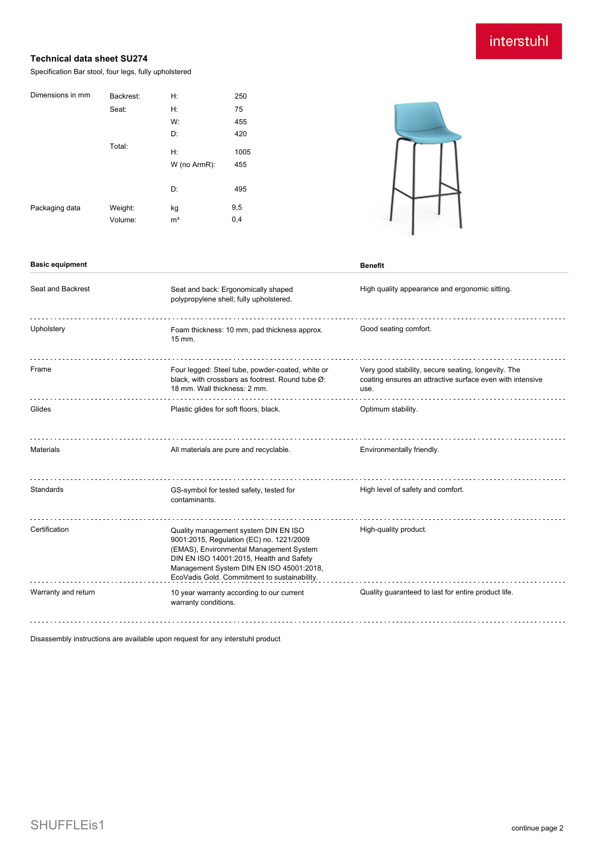## interstuhl

## **Technical data sheet SU274**

Specification Bar stool, four legs, fully upholstered

| Dimensions in mm | Backrest: | Н:             | 250  |
|------------------|-----------|----------------|------|
|                  | Seat:     | Н:             | 75   |
|                  |           | W:             | 455  |
|                  |           | D:             | 420  |
|                  | Total:    | H:             | 1005 |
|                  |           | W (no ArmR):   | 455  |
|                  |           |                |      |
|                  |           | D:             | 495  |
| Packaging data   | Weight:   | kg             | 9,5  |
|                  | Volume:   | m <sup>3</sup> | 0,4  |
|                  |           |                |      |

**Basic equipment Benefit** 



| Seat and Backrest   | Seat and back: Ergonomically shaped<br>polypropylene shell; fully upholstered.                                                                                                                                                                                      | High quality appearance and ergonomic sitting.                                                                           |
|---------------------|---------------------------------------------------------------------------------------------------------------------------------------------------------------------------------------------------------------------------------------------------------------------|--------------------------------------------------------------------------------------------------------------------------|
| Upholstery          | Foam thickness: 10 mm, pad thickness approx.<br>$15$ mm.                                                                                                                                                                                                            | Good seating comfort.                                                                                                    |
| Frame               | Four legged: Steel tube, powder-coated, white or<br>black, with crossbars as footrest. Round tube Ø:<br>18 mm. Wall thickness: 2 mm.                                                                                                                                | Very good stability, secure seating, longevity. The<br>coating ensures an attractive surface even with intensive<br>use. |
| Glides              | Plastic glides for soft floors, black.                                                                                                                                                                                                                              | Optimum stability.                                                                                                       |
| <b>Materials</b>    | All materials are pure and recyclable.                                                                                                                                                                                                                              | Environmentally friendly.                                                                                                |
| Standards           | GS-symbol for tested safety, tested for<br>contaminants.                                                                                                                                                                                                            | High level of safety and comfort.                                                                                        |
| Certification       | Quality management system DIN EN ISO<br>9001:2015, Regulation (EC) no. 1221/2009<br>(EMAS), Environmental Management System<br>DIN EN ISO 14001:2015, Health and Safety<br>Management System DIN EN ISO 45001:2018,<br>EcoVadis Gold. Commitment to sustainability. | High-quality product.                                                                                                    |
| Warranty and return | 10 year warranty according to our current<br>warranty conditions.                                                                                                                                                                                                   | Quality guaranteed to last for entire product life.                                                                      |

Disassembly instructions are available upon request for any interstuhl product